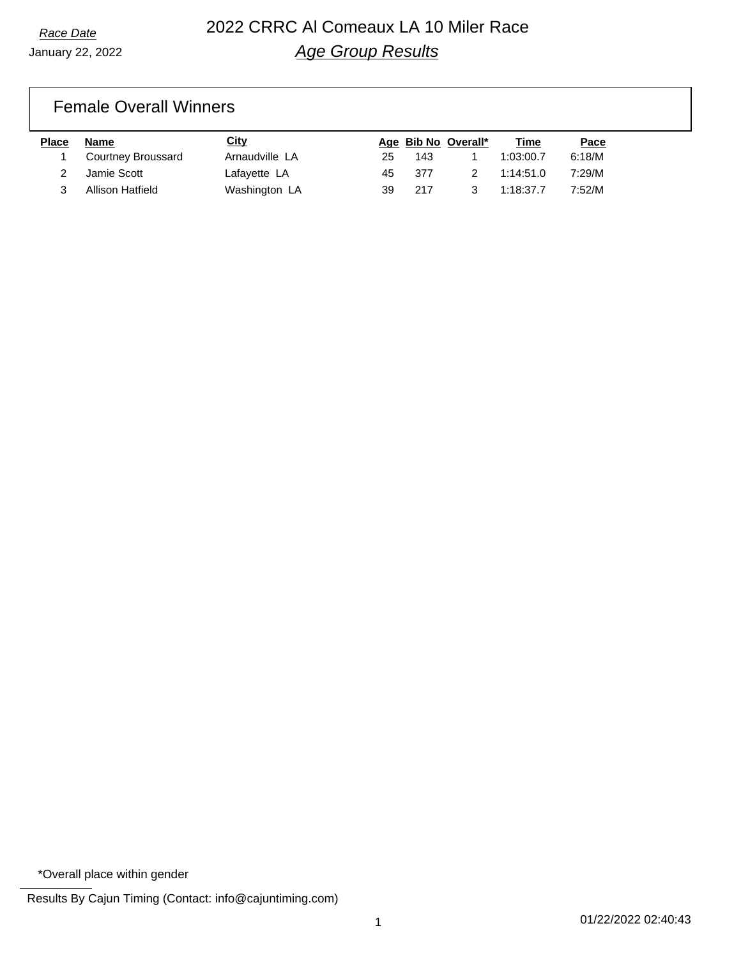#### Female Overall Winners

| <b>Place</b> | Name               | City           |     |       | Age Bib No Overall* | Time      | Pace   |
|--------------|--------------------|----------------|-----|-------|---------------------|-----------|--------|
|              | Courtney Broussard | Arnaudville LA | 25  | 143   |                     | 1:03:00.7 | 6:18/M |
|              | Jamie Scott        | Lafayette LA   | 45. | - 377 |                     | 1:14:51.0 | 7:29/M |
|              | Allison Hatfield   | Washington LA  | 39  | 217   |                     | 1:18:37.7 | 7:52/M |

<sup>\*</sup>Overall place within gender

Results By Cajun Timing (Contact: info@cajuntiming.com)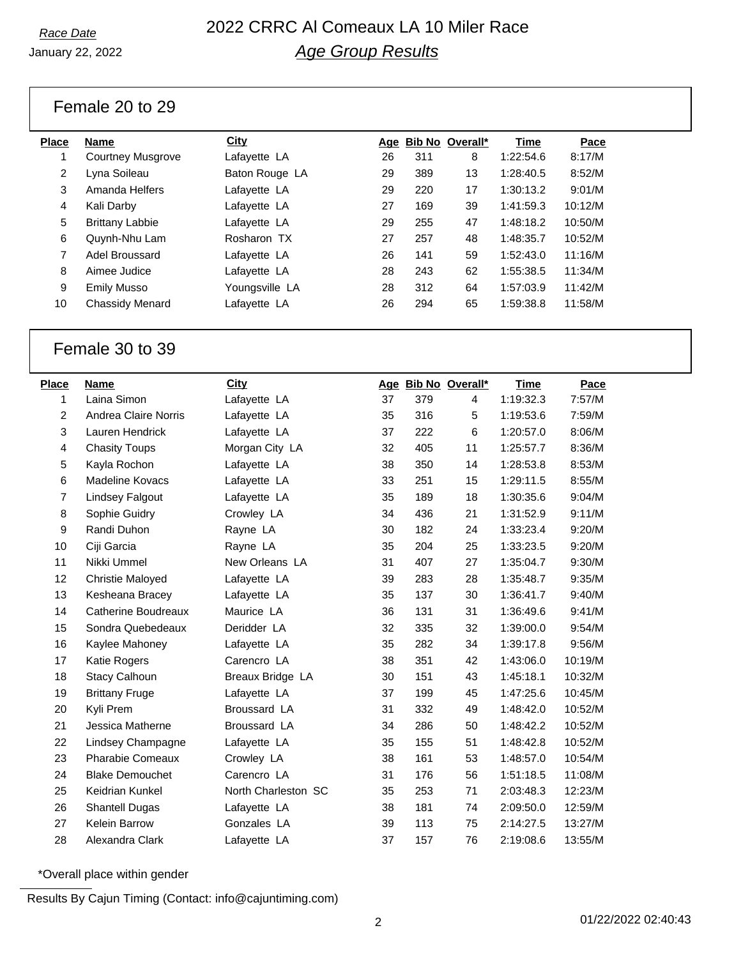# *Race Date* 2022 CRRC Al Comeaux LA 10 Miler Race *Age Group Results*

January 22, 2022

#### Female 20 to 29

| Place | <b>Name</b>              | City           | Age |     | <b>Bib No Overall*</b> | Time      | Pace    |
|-------|--------------------------|----------------|-----|-----|------------------------|-----------|---------|
|       | <b>Courtney Musgrove</b> | Lafayette LA   | 26  | 311 | 8                      | 1:22:54.6 | 8:17/M  |
| 2     | Lyna Soileau             | Baton Rouge LA | 29  | 389 | 13                     | 1:28:40.5 | 8:52/M  |
| 3     | Amanda Helfers           | Lafayette LA   | 29  | 220 | 17                     | 1:30:13.2 | 9:01/M  |
| 4     | Kali Darby               | Lafayette LA   | 27  | 169 | 39                     | 1:41:59.3 | 10:12/M |
| 5     | <b>Brittany Labbie</b>   | Lafayette LA   | 29  | 255 | 47                     | 1:48:18.2 | 10:50/M |
| 6     | Quynh-Nhu Lam            | Rosharon TX    | 27  | 257 | 48                     | 1:48:35.7 | 10:52/M |
| 7     | Adel Broussard           | Lafayette LA   | 26  | 141 | 59                     | 1:52:43.0 | 11:16/M |
| 8     | Aimee Judice             | Lafayette LA   | 28  | 243 | 62                     | 1:55:38.5 | 11:34/M |
| 9     | <b>Emily Musso</b>       | Youngsville LA | 28  | 312 | 64                     | 1:57:03.9 | 11:42/M |
| 10    | Chassidy Menard          | Lafayette LA   | 26  | 294 | 65                     | 1:59:38.8 | 11:58/M |
|       |                          |                |     |     |                        |           |         |

#### Female 30 to 39

| <b>Place</b> | <b>Name</b>                | City                |    |     | Age Bib No Overall* | <b>Time</b> | Pace    |
|--------------|----------------------------|---------------------|----|-----|---------------------|-------------|---------|
| 1            | Laina Simon                | Lafayette LA        | 37 | 379 | 4                   | 1:19:32.3   | 7:57/M  |
| 2            | Andrea Claire Norris       | Lafayette LA        | 35 | 316 | 5                   | 1:19:53.6   | 7:59/M  |
| 3            | Lauren Hendrick            | Lafayette LA        | 37 | 222 | 6                   | 1:20:57.0   | 8:06/M  |
| 4            | <b>Chasity Toups</b>       | Morgan City LA      | 32 | 405 | 11                  | 1:25:57.7   | 8:36/M  |
| 5            | Kayla Rochon               | Lafayette LA        | 38 | 350 | 14                  | 1:28:53.8   | 8:53/M  |
| 6            | Madeline Kovacs            | Lafayette LA        | 33 | 251 | 15                  | 1:29:11.5   | 8:55/M  |
| 7            | <b>Lindsey Falgout</b>     | Lafayette LA        | 35 | 189 | 18                  | 1:30:35.6   | 9:04/M  |
| 8            | Sophie Guidry              | Crowley LA          | 34 | 436 | 21                  | 1:31:52.9   | 9:11/M  |
| 9            | Randi Duhon                | Rayne LA            | 30 | 182 | 24                  | 1:33:23.4   | 9:20/M  |
| 10           | Ciji Garcia                | Rayne LA            | 35 | 204 | 25                  | 1:33:23.5   | 9:20/M  |
| 11           | Nikki Ummel                | New Orleans LA      | 31 | 407 | 27                  | 1:35:04.7   | 9:30/M  |
| 12           | <b>Christie Maloyed</b>    | Lafayette LA        | 39 | 283 | 28                  | 1:35:48.7   | 9:35/M  |
| 13           | Kesheana Bracey            | Lafayette LA        | 35 | 137 | 30                  | 1:36:41.7   | 9:40/M  |
| 14           | <b>Catherine Boudreaux</b> | Maurice LA          | 36 | 131 | 31                  | 1:36:49.6   | 9:41/M  |
| 15           | Sondra Quebedeaux          | Deridder LA         | 32 | 335 | 32                  | 1:39:00.0   | 9:54/M  |
| 16           | Kaylee Mahoney             | Lafayette LA        | 35 | 282 | 34                  | 1:39:17.8   | 9:56/M  |
| 17           | Katie Rogers               | Carencro LA         | 38 | 351 | 42                  | 1:43:06.0   | 10:19/M |
| 18           | Stacy Calhoun              | Breaux Bridge LA    | 30 | 151 | 43                  | 1:45:18.1   | 10:32/M |
| 19           | <b>Brittany Fruge</b>      | Lafayette LA        | 37 | 199 | 45                  | 1:47:25.6   | 10:45/M |
| 20           | Kyli Prem                  | Broussard LA        | 31 | 332 | 49                  | 1:48:42.0   | 10:52/M |
| 21           | Jessica Matherne           | Broussard LA        | 34 | 286 | 50                  | 1:48:42.2   | 10:52/M |
| 22           | Lindsey Champagne          | Lafayette LA        | 35 | 155 | 51                  | 1:48:42.8   | 10:52/M |
| 23           | <b>Pharabie Comeaux</b>    | Crowley LA          | 38 | 161 | 53                  | 1:48:57.0   | 10:54/M |
| 24           | <b>Blake Demouchet</b>     | Carencro LA         | 31 | 176 | 56                  | 1:51:18.5   | 11:08/M |
| 25           | Keidrian Kunkel            | North Charleston SC | 35 | 253 | 71                  | 2:03:48.3   | 12:23/M |
| 26           | <b>Shantell Dugas</b>      | Lafayette LA        | 38 | 181 | 74                  | 2:09:50.0   | 12:59/M |
| 27           | Kelein Barrow              | Gonzales LA         | 39 | 113 | 75                  | 2:14:27.5   | 13:27/M |
| 28           | Alexandra Clark            | Lafayette LA        | 37 | 157 | 76                  | 2:19:08.6   | 13:55/M |

\*Overall place within gender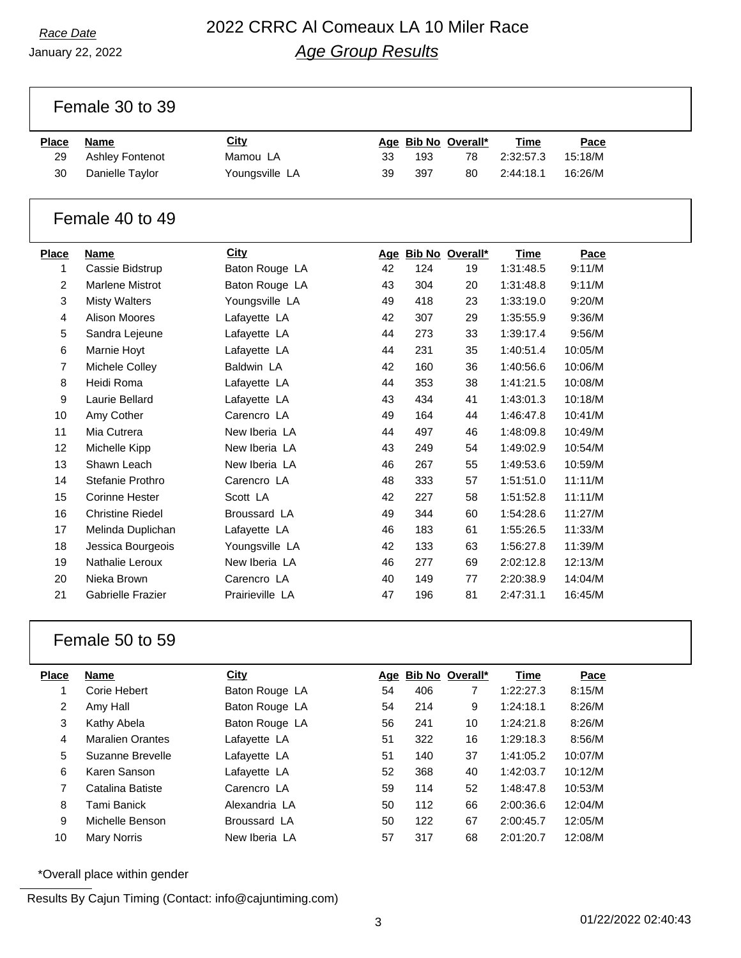Female 30 to 39

| <u>Place</u> | Name            | City           |    |     | Age Bib No Overall* | Time      | Pace    |
|--------------|-----------------|----------------|----|-----|---------------------|-----------|---------|
| 29           | Ashley Fontenot | Mamou LA       | 33 | 193 | 78                  | 2:32:57.3 | 15:18/M |
| 30           | Danielle Taylor | Youngsville LA | 39 | 397 | 80                  | 2:44:18.1 | 16:26/M |

### Female 40 to 49

| <b>Place</b>   | <b>Name</b>             | City            |    |     | Age Bib No Overall* | <u>Time</u> | Pace    |
|----------------|-------------------------|-----------------|----|-----|---------------------|-------------|---------|
| 1              | Cassie Bidstrup         | Baton Rouge LA  | 42 | 124 | 19                  | 1:31:48.5   | 9:11/M  |
| $\overline{2}$ | Marlene Mistrot         | Baton Rouge LA  | 43 | 304 | 20                  | 1:31:48.8   | 9:11/M  |
| 3              | <b>Misty Walters</b>    | Youngsville LA  | 49 | 418 | 23                  | 1:33:19.0   | 9:20/M  |
| 4              | <b>Alison Moores</b>    | Lafayette LA    | 42 | 307 | 29                  | 1:35:55.9   | 9:36/M  |
| 5              | Sandra Lejeune          | Lafayette LA    | 44 | 273 | 33                  | 1:39:17.4   | 9:56/M  |
| 6              | Marnie Hoyt             | Lafayette LA    | 44 | 231 | 35                  | 1:40:51.4   | 10:05/M |
| $\overline{7}$ | Michele Colley          | Baldwin LA      | 42 | 160 | 36                  | 1:40:56.6   | 10:06/M |
| 8              | Heidi Roma              | Lafayette LA    | 44 | 353 | 38                  | 1:41:21.5   | 10:08/M |
| 9              | Laurie Bellard          | Lafayette LA    | 43 | 434 | 41                  | 1:43:01.3   | 10:18/M |
| 10             | Amy Cother              | Carencro LA     | 49 | 164 | 44                  | 1:46:47.8   | 10:41/M |
| 11             | Mia Cutrera             | New Iberia LA   | 44 | 497 | 46                  | 1:48:09.8   | 10:49/M |
| 12             | Michelle Kipp           | New Iberia LA   | 43 | 249 | 54                  | 1:49:02.9   | 10:54/M |
| 13             | Shawn Leach             | New Iberia LA   | 46 | 267 | 55                  | 1:49:53.6   | 10:59/M |
| 14             | Stefanie Prothro        | Carencro LA     | 48 | 333 | 57                  | 1:51:51.0   | 11:11/M |
| 15             | <b>Corinne Hester</b>   | Scott LA        | 42 | 227 | 58                  | 1:51:52.8   | 11:11/M |
| 16             | <b>Christine Riedel</b> | Broussard LA    | 49 | 344 | 60                  | 1:54:28.6   | 11:27/M |
| 17             | Melinda Duplichan       | Lafayette LA    | 46 | 183 | 61                  | 1:55:26.5   | 11:33/M |
| 18             | Jessica Bourgeois       | Youngsville LA  | 42 | 133 | 63                  | 1:56:27.8   | 11:39/M |
| 19             | Nathalie Leroux         | New Iberia LA   | 46 | 277 | 69                  | 2:02:12.8   | 12:13/M |
| 20             | Nieka Brown             | Carencro LA     | 40 | 149 | 77                  | 2:20:38.9   | 14:04/M |
| 21             | Gabrielle Frazier       | Prairieville LA | 47 | 196 | 81                  | 2:47:31.1   | 16:45/M |

#### Female 50 to 59

| <b>Place</b> | <b>Name</b>             | City           |    |     | Age Bib No Overall* | Time      | Pace    |
|--------------|-------------------------|----------------|----|-----|---------------------|-----------|---------|
| 1            | Corie Hebert            | Baton Rouge LA | 54 | 406 | 7                   | 1:22:27.3 | 8:15/M  |
| 2            | Amy Hall                | Baton Rouge LA | 54 | 214 | 9                   | 1:24:18.1 | 8:26/M  |
| 3            | Kathy Abela             | Baton Rouge LA | 56 | 241 | 10                  | 1:24:21.8 | 8:26/M  |
| 4            | <b>Maralien Orantes</b> | Lafayette LA   | 51 | 322 | 16                  | 1:29:18.3 | 8:56/M  |
| 5            | Suzanne Brevelle        | Lafayette LA   | 51 | 140 | 37                  | 1:41:05.2 | 10:07/M |
| 6            | Karen Sanson            | Lafayette LA   | 52 | 368 | 40                  | 1:42:03.7 | 10:12/M |
| 7            | Catalina Batiste        | Carencro LA    | 59 | 114 | 52                  | 1:48:47.8 | 10:53/M |
| 8            | Tami Banick             | Alexandria LA  | 50 | 112 | 66                  | 2:00:36.6 | 12:04/M |
| 9            | Michelle Benson         | Broussard LA   | 50 | 122 | 67                  | 2:00:45.7 | 12:05/M |
| 10           | <b>Mary Norris</b>      | New Iberia LA  | 57 | 317 | 68                  | 2:01:20.7 | 12:08/M |

\*Overall place within gender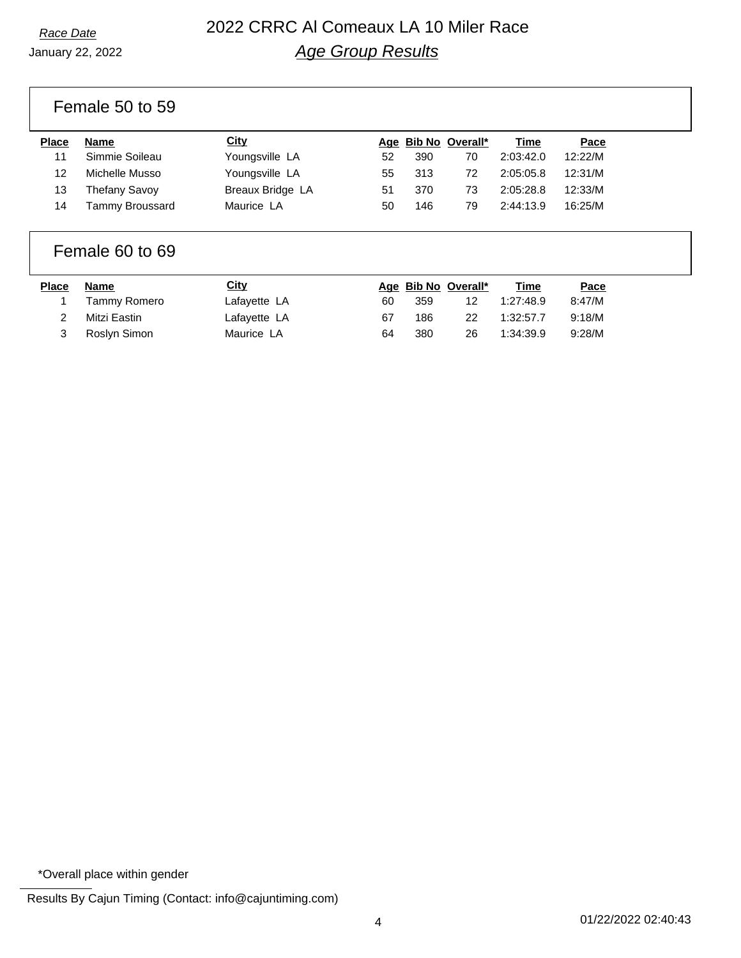# *Race Date* 2022 CRRC Al Comeaux LA 10 Miler Race *Age Group Results*

Female 50 to 59

| <b>Place</b> | <b>Name</b>     | City             |    |     | Age Bib No Overall* | Time      | Pace    |
|--------------|-----------------|------------------|----|-----|---------------------|-----------|---------|
| 11           | Simmie Soileau  | Youngsville LA   | 52 | 390 | 70                  | 2:03:42.0 | 12:22/M |
| 12           | Michelle Musso  | Youngsville LA   | 55 | 313 | 72                  | 2:05:05.8 | 12:31/M |
| 13           | Thefany Savoy   | Breaux Bridge LA | 51 | 370 | 73                  | 2:05:28.8 | 12:33/M |
| 14           | Tammy Broussard | Maurice LA       | 50 | 146 | 79                  | 2:44:13.9 | 16:25/M |

#### Female 60 to 69

| Place | Name         | <u>City</u>  |    |     | Age Bib No Overall* | <u>Time</u> | Pace   |
|-------|--------------|--------------|----|-----|---------------------|-------------|--------|
|       | Tammy Romero | Lafayette LA | 60 | 359 |                     | 1:27:48.9   | 8:47/M |
|       | Mitzi Eastin | Lafayette LA | 67 | 186 | 22                  | 1:32:57.7   | 9:18/M |
|       | Roslyn Simon | Maurice LA   | 64 | 380 | 26                  | 1:34:39.9   | 9:28/M |

\*Overall place within gender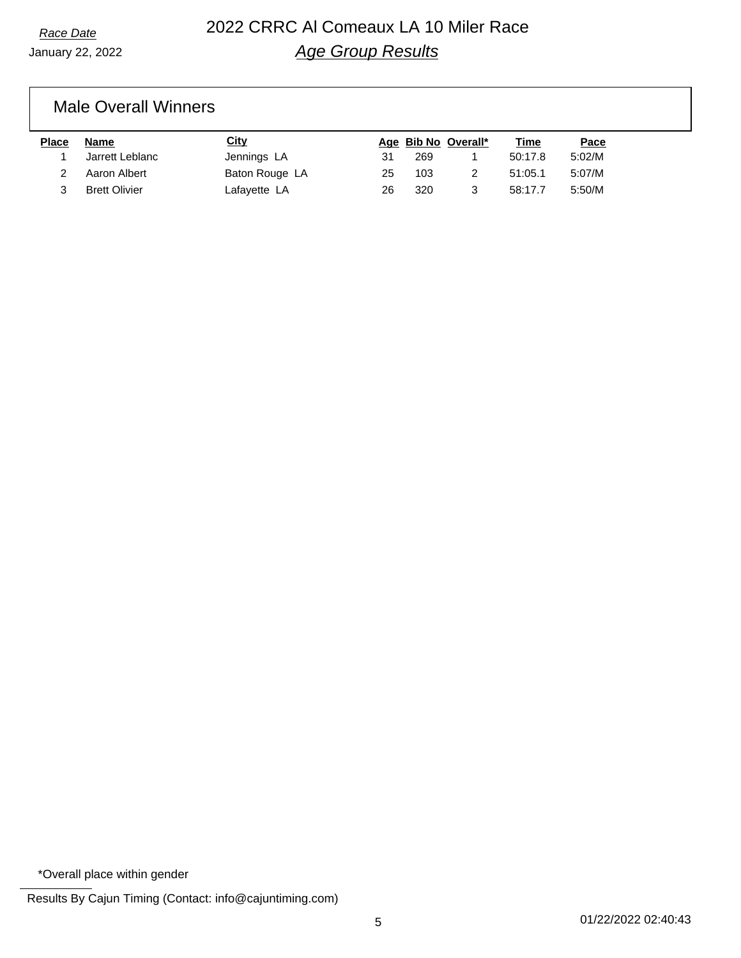### Male Overall Winners

| <b>Place</b> | Name                 | <b>City</b>    |    | Age Bib No Overall* | Time    | Pace   |
|--------------|----------------------|----------------|----|---------------------|---------|--------|
|              | Jarrett Leblanc      | Jennings LA    | 31 | 269                 | 50:17.8 | 5:02/M |
|              | Aaron Albert         | Baton Rouge LA | 25 | 103                 | 51:05.1 | 5:07/M |
|              | <b>Brett Olivier</b> | Lafayette LA   | 26 | 320                 | 58:17.7 | 5:50/M |

\*Overall place within gender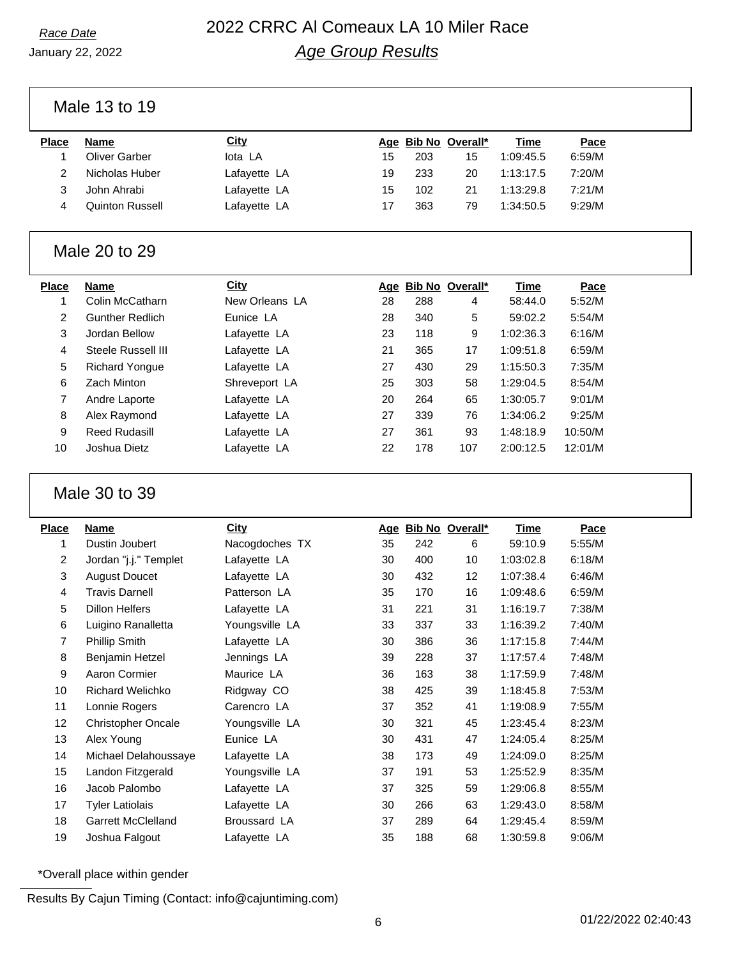# *Race Date* 2022 CRRC Al Comeaux LA 10 Miler Race *Age Group Results*

January 22, 2022

### Male 13 to 19

| Place | <b>Name</b>            | <u>City</u>  |    |     | Age Bib No Overall* | Time      | Pace   |
|-------|------------------------|--------------|----|-----|---------------------|-----------|--------|
|       | Oliver Garber          | lota LA      | 15 | 203 | 15                  | 1:09:45.5 | 6:59/M |
|       | Nicholas Huber         | Lafayette LA | 19 | 233 | 20                  | 1:13:17.5 | 7:20/M |
|       | John Ahrabi            | Lafayette LA | 15 | 102 | 21                  | 1:13:29.8 | 7:21/M |
|       | <b>Quinton Russell</b> | Lafayette LA |    | 363 | 79                  | 1:34:50.5 | 9:29/M |
|       |                        |              |    |     |                     |           |        |

#### Male 20 to 29

| <b>Name</b>            | <b>City</b>    |    |     |     | Time                | Pace    |
|------------------------|----------------|----|-----|-----|---------------------|---------|
| Colin McCatharn        | New Orleans LA | 28 | 288 | 4   | 58:44.0             | 5:52/M  |
| <b>Gunther Redlich</b> | Eunice LA      | 28 | 340 | 5   | 59:02.2             | 5:54/M  |
| Jordan Bellow          | Lafayette LA   | 23 | 118 | 9   | 1:02:36.3           | 6:16/M  |
| Steele Russell III     | Lafayette LA   | 21 | 365 | 17  | 1:09:51.8           | 6:59/M  |
| <b>Richard Yongue</b>  | Lafayette LA   | 27 | 430 | 29  | 1:15:50.3           | 7:35/M  |
| Zach Minton            | Shreveport LA  | 25 | 303 | 58  | 1:29:04.5           | 8:54/M  |
| Andre Laporte          | Lafayette LA   | 20 | 264 | 65  | 1:30:05.7           | 9:01/M  |
| Alex Raymond           | Lafayette LA   | 27 | 339 | 76  | 1:34:06.2           | 9:25/M  |
| <b>Reed Rudasill</b>   | Lafayette LA   | 27 | 361 | 93  | 1:48:18.9           | 10:50/M |
| Joshua Dietz           | Lafayette LA   | 22 | 178 | 107 | 2:00:12.5           | 12:01/M |
|                        |                |    |     |     | Age Bib No Overall* |         |

#### Male 30 to 39

| <b>Place</b> | <b>Name</b>               | <b>City</b>    | Age |     | Bib No Overall* | <b>Time</b> | Pace   |
|--------------|---------------------------|----------------|-----|-----|-----------------|-------------|--------|
| 1            | Dustin Joubert            | Nacogdoches TX | 35  | 242 | 6               | 59:10.9     | 5:55/M |
| 2            | Jordan "j.j." Templet     | Lafayette LA   | 30  | 400 | 10              | 1:03:02.8   | 6:18/M |
| 3            | <b>August Doucet</b>      | Lafayette LA   | 30  | 432 | 12 <sub>2</sub> | 1:07:38.4   | 6:46/M |
| 4            | <b>Travis Darnell</b>     | Patterson LA   | 35  | 170 | 16              | 1:09:48.6   | 6:59/M |
| 5            | Dillon Helfers            | Lafayette LA   | 31  | 221 | 31              | 1:16:19.7   | 7:38/M |
| 6            | Luigino Ranalletta        | Youngsville LA | 33  | 337 | 33              | 1:16:39.2   | 7:40/M |
| 7            | Phillip Smith             | Lafayette LA   | 30  | 386 | 36              | 1:17:15.8   | 7:44/M |
| 8            | Benjamin Hetzel           | Jennings LA    | 39  | 228 | 37              | 1:17:57.4   | 7:48/M |
| 9            | Aaron Cormier             | Maurice LA     | 36  | 163 | 38              | 1:17:59.9   | 7:48/M |
| 10           | <b>Richard Welichko</b>   | Ridgway CO     | 38  | 425 | 39              | 1:18:45.8   | 7:53/M |
| 11           | Lonnie Rogers             | Carencro LA    | 37  | 352 | 41              | 1:19:08.9   | 7:55/M |
| 12           | <b>Christopher Oncale</b> | Youngsville LA | 30  | 321 | 45              | 1:23:45.4   | 8:23/M |
| 13           | Alex Young                | Eunice LA      | 30  | 431 | 47              | 1:24:05.4   | 8:25/M |
| 14           | Michael Delahoussaye      | Lafayette LA   | 38  | 173 | 49              | 1:24:09.0   | 8:25/M |
| 15           | Landon Fitzgerald         | Youngsville LA | 37  | 191 | 53              | 1:25:52.9   | 8:35/M |
| 16           | Jacob Palombo             | Lafayette LA   | 37  | 325 | 59              | 1:29:06.8   | 8:55/M |
| 17           | <b>Tyler Latiolais</b>    | Lafayette LA   | 30  | 266 | 63              | 1:29:43.0   | 8:58/M |
| 18           | <b>Garrett McClelland</b> | Broussard LA   | 37  | 289 | 64              | 1:29:45.4   | 8:59/M |
| 19           | Joshua Falgout            | Lafayette LA   | 35  | 188 | 68              | 1:30:59.8   | 9:06/M |

\*Overall place within gender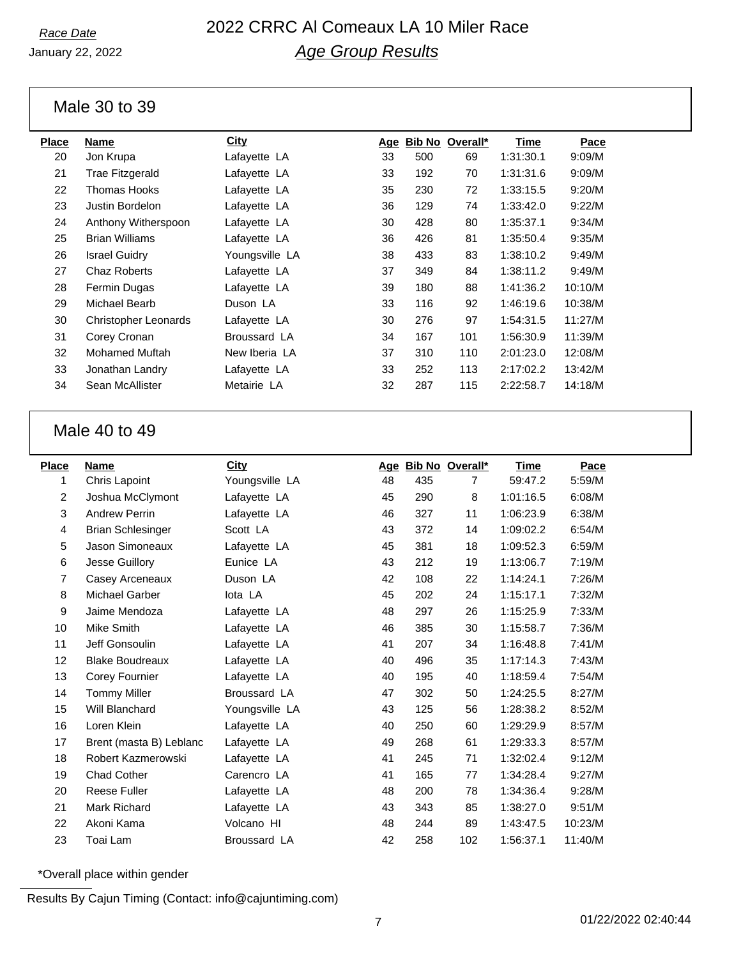# *Race Date* 2022 CRRC Al Comeaux LA 10 Miler Race *Age Group Results*

January 22, 2022

#### Male 30 to 39

| <b>Place</b> | <b>Name</b>           | City           | <u>Age</u> |     | Bib No Overall* | Time      | Pace    |
|--------------|-----------------------|----------------|------------|-----|-----------------|-----------|---------|
| 20           | Jon Krupa             | Lafayette LA   | 33         | 500 | 69              | 1:31:30.1 | 9:09/M  |
| 21           | Trae Fitzgerald       | Lafayette LA   | 33         | 192 | 70              | 1:31:31.6 | 9:09/M  |
| 22           | Thomas Hooks          | Lafayette LA   | 35         | 230 | 72              | 1:33:15.5 | 9:20/M  |
| 23           | Justin Bordelon       | Lafayette LA   | 36         | 129 | 74              | 1:33:42.0 | 9:22/M  |
| 24           | Anthony Witherspoon   | Lafayette LA   | 30         | 428 | 80              | 1:35:37.1 | 9:34/M  |
| 25           | <b>Brian Williams</b> | Lafayette LA   | 36         | 426 | 81              | 1:35:50.4 | 9:35/M  |
| 26           | <b>Israel Guidry</b>  | Youngsville LA | 38         | 433 | 83              | 1:38:10.2 | 9:49/M  |
| 27           | Chaz Roberts          | Lafayette LA   | 37         | 349 | 84              | 1:38:11.2 | 9:49/M  |
| 28           | Fermin Dugas          | Lafayette LA   | 39         | 180 | 88              | 1:41:36.2 | 10:10/M |
| 29           | Michael Bearb         | Duson LA       | 33         | 116 | 92              | 1:46:19.6 | 10:38/M |
| 30           | Christopher Leonards  | Lafayette LA   | 30         | 276 | 97              | 1:54:31.5 | 11:27/M |
| 31           | Corey Cronan          | Broussard LA   | 34         | 167 | 101             | 1:56:30.9 | 11:39/M |
| 32           | <b>Mohamed Muftah</b> | New Iberia LA  | 37         | 310 | 110             | 2:01:23.0 | 12:08/M |
| 33           | Jonathan Landry       | Lafayette LA   | 33         | 252 | 113             | 2:17:02.2 | 13:42/M |
| 34           | Sean McAllister       | Metairie LA    | 32         | 287 | 115             | 2:22:58.7 | 14:18/M |
|              |                       |                |            |     |                 |           |         |

### Male 40 to 49

| <b>Place</b>   | <b>Name</b>              | <b>City</b>         |    |     | Age Bib No Overall* | Time      | Pace    |
|----------------|--------------------------|---------------------|----|-----|---------------------|-----------|---------|
| 1              | Chris Lapoint            | Youngsville LA      | 48 | 435 | $\overline{7}$      | 59:47.2   | 5:59/M  |
| 2              | Joshua McClymont         | Lafayette LA        | 45 | 290 | 8                   | 1:01:16.5 | 6:08/M  |
| 3              | <b>Andrew Perrin</b>     | Lafayette LA        | 46 | 327 | 11                  | 1:06:23.9 | 6:38/M  |
| 4              | <b>Brian Schlesinger</b> | Scott LA            | 43 | 372 | 14                  | 1:09:02.2 | 6:54/M  |
| 5              | Jason Simoneaux          | Lafayette LA        | 45 | 381 | 18                  | 1:09:52.3 | 6:59/M  |
| 6              | Jesse Guillory           | Eunice LA           | 43 | 212 | 19                  | 1:13:06.7 | 7:19/M  |
| $\overline{7}$ | Casey Arceneaux          | Duson LA            | 42 | 108 | 22                  | 1:14:24.1 | 7:26/M  |
| 8              | <b>Michael Garber</b>    | lota LA             | 45 | 202 | 24                  | 1:15:17.1 | 7:32/M  |
| 9              | Jaime Mendoza            | Lafayette LA        | 48 | 297 | 26                  | 1:15:25.9 | 7:33/M  |
| 10             | <b>Mike Smith</b>        | Lafayette LA        | 46 | 385 | 30                  | 1:15:58.7 | 7:36/M  |
| 11             | Jeff Gonsoulin           | Lafayette LA        | 41 | 207 | 34                  | 1:16:48.8 | 7:41/M  |
| 12             | <b>Blake Boudreaux</b>   | Lafayette LA        | 40 | 496 | 35                  | 1:17:14.3 | 7:43/M  |
| 13             | Corey Fournier           | Lafayette LA        | 40 | 195 | 40                  | 1:18:59.4 | 7:54/M  |
| 14             | <b>Tommy Miller</b>      | Broussard LA        | 47 | 302 | 50                  | 1:24:25.5 | 8:27/M  |
| 15             | Will Blanchard           | Youngsville LA      | 43 | 125 | 56                  | 1:28:38.2 | 8:52/M  |
| 16             | Loren Klein              | Lafayette LA        | 40 | 250 | 60                  | 1:29:29.9 | 8:57/M  |
| 17             | Brent (masta B) Leblanc  | Lafayette LA        | 49 | 268 | 61                  | 1:29:33.3 | 8:57/M  |
| 18             | Robert Kazmerowski       | Lafayette LA        | 41 | 245 | 71                  | 1:32:02.4 | 9:12/M  |
| 19             | Chad Cother              | Carencro LA         | 41 | 165 | 77                  | 1:34:28.4 | 9:27/M  |
| 20             | <b>Reese Fuller</b>      | Lafayette LA        | 48 | 200 | 78                  | 1:34:36.4 | 9:28/M  |
| 21             | Mark Richard             | Lafayette LA        | 43 | 343 | 85                  | 1:38:27.0 | 9:51/M  |
| 22             | Akoni Kama               | Volcano HI          | 48 | 244 | 89                  | 1:43:47.5 | 10:23/M |
| 23             | Toai Lam                 | <b>Broussard LA</b> | 42 | 258 | 102                 | 1:56:37.1 | 11:40/M |

\*Overall place within gender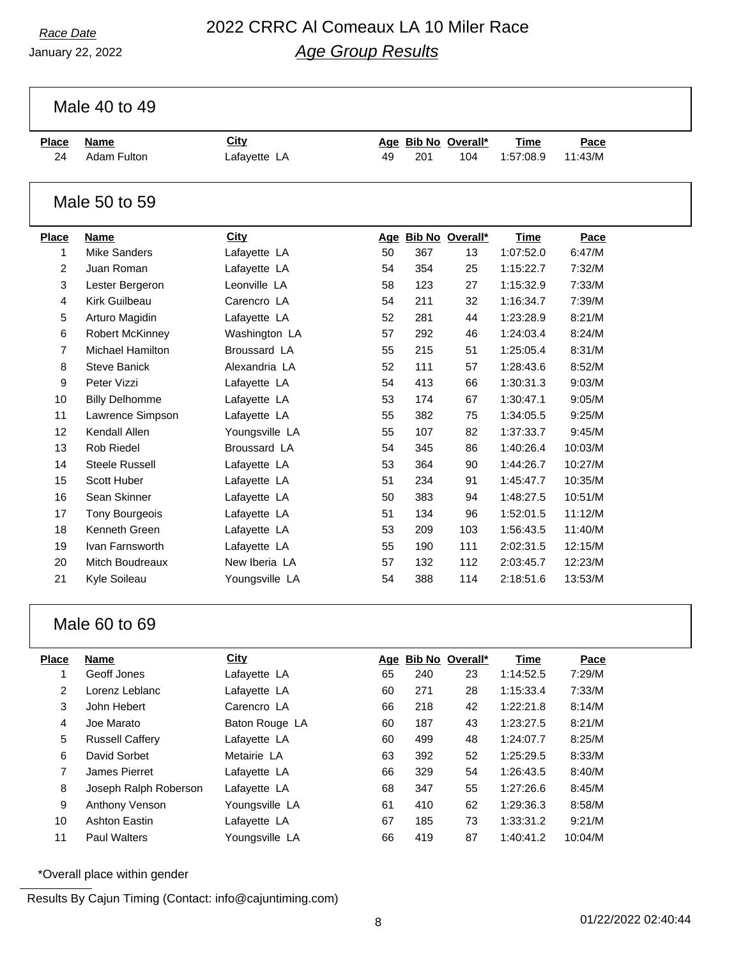# *Race Date* 2022 CRRC Al Comeaux LA 10 Miler Race *Age Group Results*

Male 40 to 49

| <b>Place</b>  | <b>Name</b>             | City           |    |     | Age Bib No Overall* | <b>Time</b> | Pace    |  |
|---------------|-------------------------|----------------|----|-----|---------------------|-------------|---------|--|
| 24            | Adam Fulton             | Lafayette LA   | 49 | 201 | 104                 | 1:57:08.9   | 11:43/M |  |
|               |                         |                |    |     |                     |             |         |  |
| Male 50 to 59 |                         |                |    |     |                     |             |         |  |
| <b>Place</b>  | <b>Name</b>             | <b>City</b>    |    |     | Age Bib No Overall* | <b>Time</b> | Pace    |  |
| 1             | Mike Sanders            | Lafayette LA   | 50 | 367 | 13                  | 1:07:52.0   | 6:47/M  |  |
| 2             | Juan Roman              | Lafayette LA   | 54 | 354 | 25                  | 1:15:22.7   | 7:32/M  |  |
| 3             | Lester Bergeron         | Leonville LA   | 58 | 123 | 27                  | 1:15:32.9   | 7:33/M  |  |
| 4             | Kirk Guilbeau           | Carencro LA    | 54 | 211 | 32                  | 1:16:34.7   | 7:39/M  |  |
| 5             | Arturo Magidin          | Lafayette LA   | 52 | 281 | 44                  | 1:23:28.9   | 8:21/M  |  |
| 6             | <b>Robert McKinney</b>  | Washington LA  | 57 | 292 | 46                  | 1:24:03.4   | 8:24/M  |  |
| 7             | <b>Michael Hamilton</b> | Broussard LA   | 55 | 215 | 51                  | 1:25:05.4   | 8:31/M  |  |
| 8             | <b>Steve Banick</b>     | Alexandria LA  | 52 | 111 | 57                  | 1:28:43.6   | 8:52/M  |  |
| 9             | Peter Vizzi             | Lafayette LA   | 54 | 413 | 66                  | 1:30:31.3   | 9:03/M  |  |
| 10            | <b>Billy Delhomme</b>   | Lafayette LA   | 53 | 174 | 67                  | 1:30:47.1   | 9:05/M  |  |
| 11            | Lawrence Simpson        | Lafayette LA   | 55 | 382 | 75                  | 1:34:05.5   | 9:25/M  |  |
| 12            | Kendall Allen           | Youngsville LA | 55 | 107 | 82                  | 1:37:33.7   | 9:45/M  |  |
| 13            | Rob Riedel              | Broussard LA   | 54 | 345 | 86                  | 1:40:26.4   | 10:03/M |  |
| 14            | Steele Russell          | Lafayette LA   | 53 | 364 | 90                  | 1:44:26.7   | 10:27/M |  |
| 15            | Scott Huber             | Lafayette LA   | 51 | 234 | 91                  | 1:45:47.7   | 10:35/M |  |
| 16            | Sean Skinner            | Lafayette LA   | 50 | 383 | 94                  | 1:48:27.5   | 10:51/M |  |
| 17            | <b>Tony Bourgeois</b>   | Lafayette LA   | 51 | 134 | 96                  | 1:52:01.5   | 11:12/M |  |
| 18            | Kenneth Green           | Lafayette LA   | 53 | 209 | 103                 | 1:56:43.5   | 11:40/M |  |
| 19            | Ivan Farnsworth         | Lafayette LA   | 55 | 190 | 111                 | 2:02:31.5   | 12:15/M |  |
| 20            | Mitch Boudreaux         | New Iberia LA  | 57 | 132 | 112                 | 2:03:45.7   | 12:23/M |  |
| 21            | Kyle Soileau            | Youngsville LA | 54 | 388 | 114                 | 2:18:51.6   | 13:53/M |  |

### Male 60 to 69

| <b>Place</b> | <b>Name</b>            | <b>City</b>    |    |     | Age Bib No Overall* | <b>Time</b> | Pace    |
|--------------|------------------------|----------------|----|-----|---------------------|-------------|---------|
|              | Geoff Jones            | Lafayette LA   | 65 | 240 | 23                  | 1:14:52.5   | 7:29/M  |
| 2            | Lorenz Leblanc         | Lafayette LA   | 60 | 271 | 28                  | 1:15:33.4   | 7:33/M  |
| 3            | John Hebert            | Carencro LA    | 66 | 218 | 42                  | 1:22:21.8   | 8:14/M  |
| 4            | Joe Marato             | Baton Rouge LA | 60 | 187 | 43                  | 1:23:27.5   | 8:21/M  |
| 5            | <b>Russell Caffery</b> | Lafayette LA   | 60 | 499 | 48                  | 1:24:07.7   | 8:25/M  |
| 6            | David Sorbet           | Metairie LA    | 63 | 392 | 52                  | 1:25:29.5   | 8:33/M  |
| 7            | James Pierret          | Lafayette LA   | 66 | 329 | 54                  | 1:26:43.5   | 8:40/M  |
| 8            | Joseph Ralph Roberson  | Lafayette LA   | 68 | 347 | 55                  | 1:27:26.6   | 8:45/M  |
| 9            | Anthony Venson         | Youngsville LA | 61 | 410 | 62                  | 1:29:36.3   | 8:58/M  |
| 10           | Ashton Eastin          | Lafayette LA   | 67 | 185 | 73                  | 1:33:31.2   | 9:21/M  |
| 11           | <b>Paul Walters</b>    | Youngsville LA | 66 | 419 | 87                  | 1:40:41.2   | 10:04/M |

\*Overall place within gender